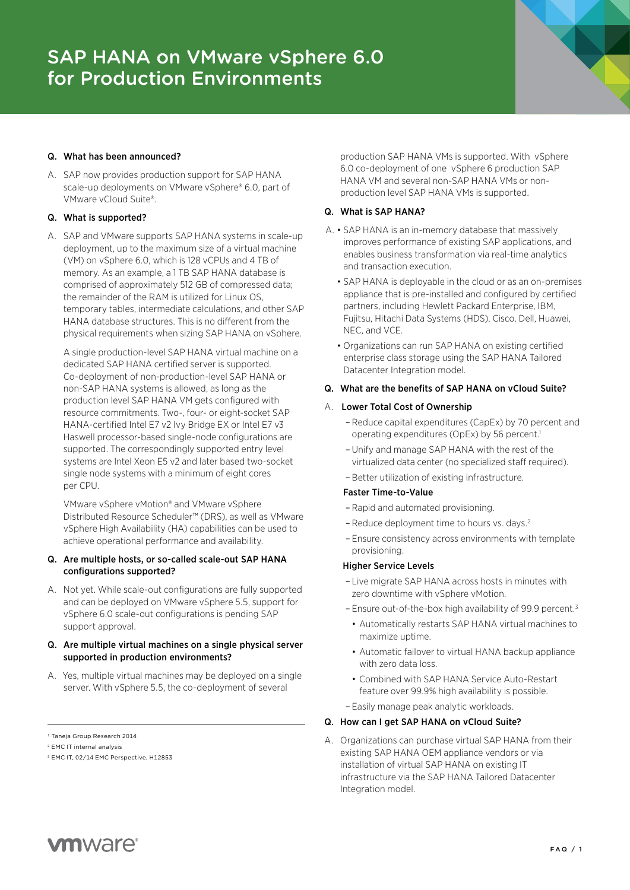## Q. What has been announced?

A. SAP now provides production support for SAP HANA scale-up deployments on VMware vSphere® 6.0, part of VMware vCloud Suite®.

## Q. What is supported?

A. SAP and VMware supports SAP HANA systems in scale-up deployment, up to the maximum size of a virtual machine (VM) on vSphere 6.0, which is 128 vCPUs and 4 TB of memory. As an example, a 1 TB SAP HANA database is comprised of approximately 512 GB of compressed data; the remainder of the RAM is utilized for Linux OS, temporary tables, intermediate calculations, and other SAP HANA database structures. This is no different from the physical requirements when sizing SAP HANA on vSphere.

A single production-level SAP HANA virtual machine on a dedicated SAP HANA certified server is supported. Co-deployment of non-production-level SAP HANA or non-SAP HANA systems is allowed, as long as the production level SAP HANA VM gets configured with resource commitments. Two-, four- or eight-socket SAP HANA-certified Intel E7 v2 Ivy Bridge EX or Intel E7 v3 Haswell processor-based single-node configurations are supported. The correspondingly supported entry level systems are Intel Xeon E5 v2 and later based two-socket single node systems with a minimum of eight cores per CPU.

VMware vSphere vMotion® and VMware vSphere Distributed Resource Scheduler™ (DRS), as well as VMware vSphere High Availability (HA) capabilities can be used to achieve operational performance and availability.

#### Q. Are multiple hosts, or so-called scale-out SAP HANA configurations supported?

A. Not yet. While scale-out configurations are fully supported and can be deployed on VMware vSphere 5.5, support for vSphere 6.0 scale-out configurations is pending SAP support approval.

## Q. Are multiple virtual machines on a single physical server supported in production environments?

A. Yes, multiple virtual machines may be deployed on a single server. With vSphere 5.5, the co-deployment of several

production SAP HANA VMs is supported. With vSphere 6.0 co-deployment of one vSphere 6 production SAP HANA VM and several non-SAP HANA VMs or nonproduction level SAP HANA VMs is supported.

#### Q. What is SAP HANA?

- A. SAP HANA is an in-memory database that massively improves performance of existing SAP applications, and enables business transformation via real-time analytics and transaction execution.
	- SAP HANA is deployable in the cloud or as an on-premises appliance that is pre-installed and configured by certified partners, including Hewlett Packard Enterprise, IBM, Fujitsu, Hitachi Data Systems (HDS), Cisco, Dell, Huawei, NEC, and VCE.
	- Organizations can run SAP HANA on existing certified enterprise class storage using the SAP HANA Tailored Datacenter Integration model.

## Q. What are the benefits of SAP HANA on vCloud Suite?

## A. Lower Total Cost of Ownership

- Reduce capital expenditures (CapEx) by 70 percent and operating expenditures (OpEx) by 56 percent.<sup>1</sup>
- Unify and manage SAP HANA with the rest of the virtualized data center (no specialized staff required).
- Better utilization of existing infrastructure.

## Faster Time-to-Value

- Rapid and automated provisioning.
- Reduce deployment time to hours vs. days.2
- Ensure consistency across environments with template provisioning.

#### Higher Service Levels

- Live migrate SAP HANA across hosts in minutes with zero downtime with vSphere vMotion.
- Ensure out-of-the-box high availability of 99.9 percent.3
	- Automatically restarts SAP HANA virtual machines to maximize uptime.
	- Automatic failover to virtual HANA backup appliance with zero data loss.
	- Combined with SAP HANA Service Auto-Restart feature over 99.9% high availability is possible.
- Easily manage peak analytic workloads.

## Q. How can I get SAP HANA on vCloud Suite?

A. Organizations can purchase virtual SAP HANA from their existing SAP HANA OEM appliance vendors or via installation of virtual SAP HANA on existing IT infrastructure via the SAP HANA Tailored Datacenter Integration model.



<sup>1</sup> Taneja Group Research 2014

<sup>2</sup> EMC IT internal analysis

<sup>3</sup> EMC IT, 02/14 EMC Perspective, H12853